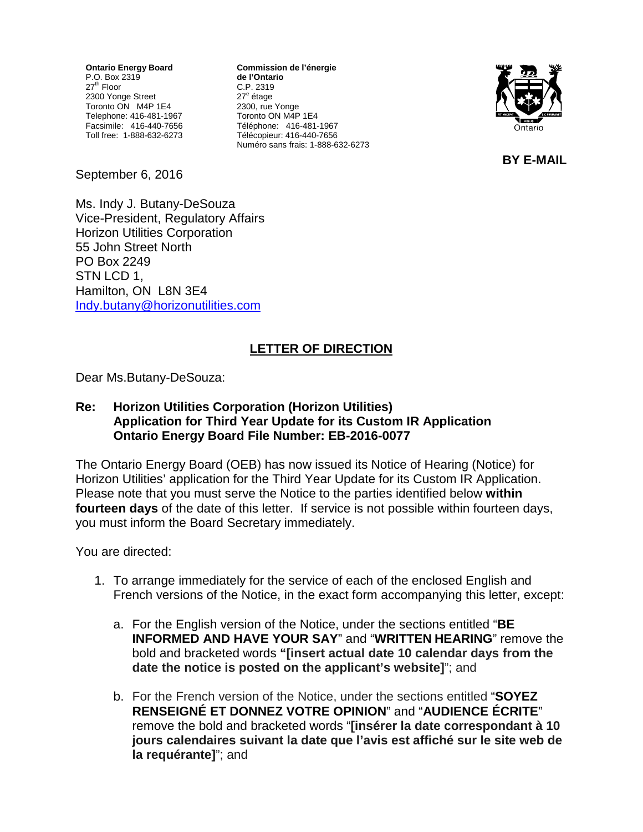**Ontario Energy Board** P.O. Box 2319 27<sup>th</sup> Floor 2300 Yonge Street Toronto ON M4P 1E4 Telephone: 416-481-1967 Facsimile: 416-440-7656 Toll free: 1-888-632-6273

**Commission de l'énergie de l'Ontario** C.P. 2319 27<sup>e</sup> étage 2300, rue Yonge Toronto ON M4P 1E4 Téléphone: 416-481-1967 Télécopieur: 416-440-7656 Numéro sans frais: 1-888-632-6273



**BY E-MAIL**

September 6, 2016

Ms. Indy J. Butany-DeSouza Vice-President, Regulatory Affairs Horizon Utilities Corporation 55 John Street North PO Box 2249 STN LCD 1, Hamilton, ON L8N 3E4 [Indy.butany@horizonutilities.com](mailto:Indy.butany@horizonutilities.com)

## **LETTER OF DIRECTION**

Dear Ms.Butany-DeSouza:

## **Re: Horizon Utilities Corporation (Horizon Utilities) Application for Third Year Update for its Custom IR Application Ontario Energy Board File Number: EB-2016-0077**

The Ontario Energy Board (OEB) has now issued its Notice of Hearing (Notice) for Horizon Utilities' application for the Third Year Update for its Custom IR Application. Please note that you must serve the Notice to the parties identified below **within fourteen days** of the date of this letter. If service is not possible within fourteen days, you must inform the Board Secretary immediately.

You are directed:

- 1. To arrange immediately for the service of each of the enclosed English and French versions of the Notice, in the exact form accompanying this letter, except:
	- a. For the English version of the Notice, under the sections entitled "**BE INFORMED AND HAVE YOUR SAY**" and "**WRITTEN HEARING**" remove the bold and bracketed words **"[insert actual date 10 calendar days from the date the notice is posted on the applicant's website]**"; and
	- b. For the French version of the Notice, under the sections entitled "**SOYEZ RENSEIGNÉ ET DONNEZ VOTRE OPINION**" and "**AUDIENCE ÉCRITE**" remove the bold and bracketed words "**[insérer la date correspondant à 10 jours calendaires suivant la date que l'avis est affiché sur le site web de la requérante]**"; and